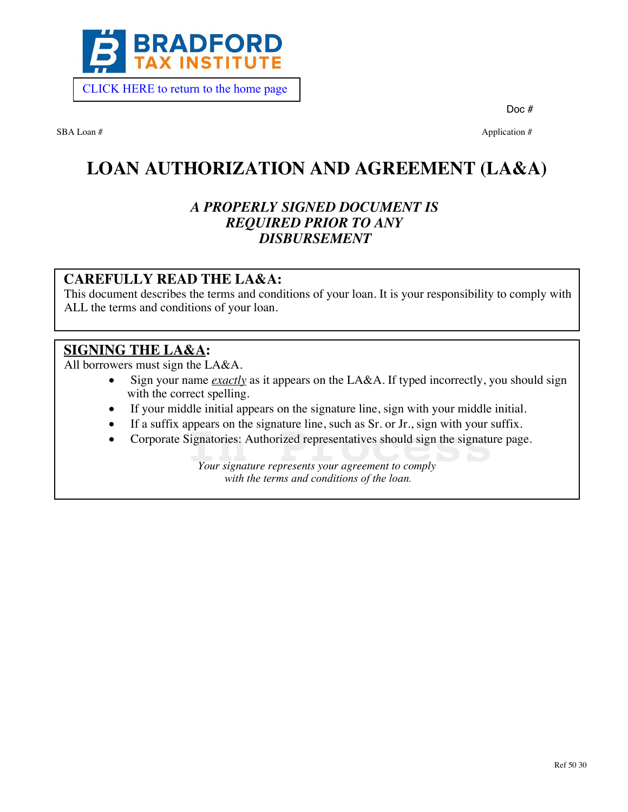

[CLICK HERE to return to the home page](https://www.bradfordtaxinstitute.com) 

Doc #

SBA Loan # Application # Application # Application # Application # Application #  $\alpha$ 

# **LOAN AUTHORIZATION AND AGREEMENT (LA&A)**

## *A PROPERLY SIGNED DOCUMENT IS REQUIRED PRIOR TO ANY DISBURSEMENT*

### **CAREFULLY READ THE LA&A:**

This document describes the terms and conditions of your loan. It is your responsibility to comply with ALL the terms and conditions of your loan.

### **SIGNING THE LA&A:**

All borrowers must sign the LA&A.

- Sign your name *exactly* as it appears on the LA&A. If typed incorrectly, you should sign with the correct spelling.
- · If your middle initial appears on the signature line, sign with your middle initial.
- If a suffix appears on the signature line, such as Sr. or Jr., sign with your suffix.
- · Corporate Signatories: Authorized representatives should sign the signature page. ppears on the signature line, such as Sr. or Jr., sign with your signatories: Authorized representatives should sign the signature<br>*Your signature represents your agreement to comply*

*Your signature represents your agreement to comply with the terms and conditions of the loan.*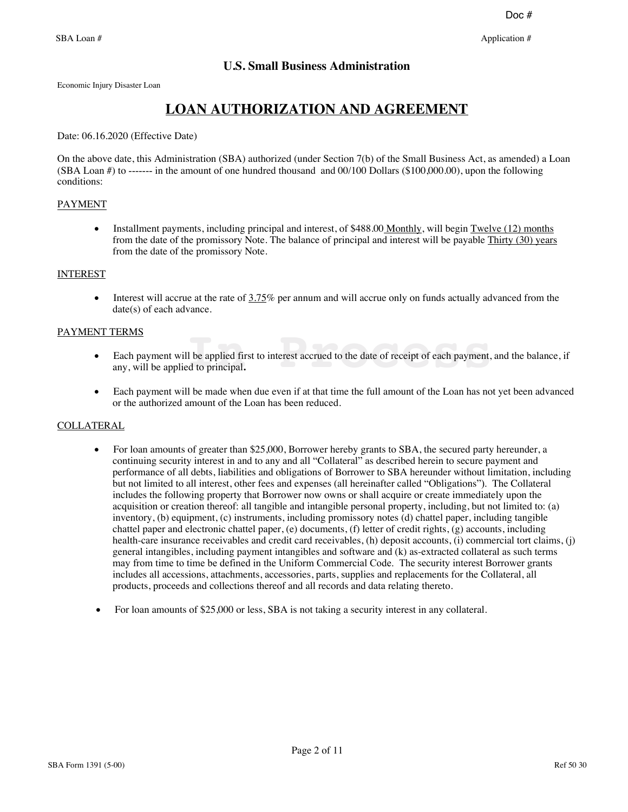### **U.S. Small Business Administration**

Economic Injury Disaster Loan

## **LOAN AUTHORIZATION AND AGREEMENT**

Date: 06.16.2020 (Effective Date)

On the above date, this Administration (SBA) authorized (under Section 7(b) of the Small Business Act, as amended) a Loan  $(SBA Loan #)$  to ------ in the amount of one hundred thousand and  $00/100$  Dollars  $(\$100,000,00)$ , upon the following conditions:

#### PAYMENT

• Installment payments, including principal and interest, of \$488.00 Monthly, will begin Twelve (12) months from the date of the promissory Note. The balance of principal and interest will be payable Thirty (30) years from the date of the promissory Note.

#### INTEREST

• Interest will accrue at the rate of  $3.75\%$  per annum and will accrue only on funds actually advanced from the date(s) of each advance.

#### PAYMENT TERMS

- · Each payment will be applied first to interest accrued to the date of receipt of each payment, and the balance, if any, will be applied to principal**.** II be applied first to interest accrued to the date of receipt of each payment, ed to principal.
- Each payment will be made when due even if at that time the full amount of the Loan has not yet been advanced or the authorized amount of the Loan has been reduced.

#### **COLLATERAL**

- For loan amounts of greater than \$25,000, Borrower hereby grants to SBA, the secured party hereunder, a continuing security interest in and to any and all "Collateral" as described herein to secure payment and performance of all debts, liabilities and obligations of Borrower to SBA hereunder without limitation, including but not limited to all interest, other fees and expenses (all hereinafter called "Obligations"). The Collateral includes the following property that Borrower now owns or shall acquire or create immediately upon the acquisition or creation thereof: all tangible and intangible personal property, including, but not limited to: (a) inventory, (b) equipment, (c) instruments, including promissory notes (d) chattel paper, including tangible chattel paper and electronic chattel paper, (e) documents, (f) letter of credit rights, (g) accounts, including health-care insurance receivables and credit card receivables, (h) deposit accounts, (i) commercial tort claims, (j) general intangibles, including payment intangibles and software and (k) as-extracted collateral as such terms may from time to time be defined in the Uniform Commercial Code. The security interest Borrower grants includes all accessions, attachments, accessories, parts, supplies and replacements for the Collateral, all products, proceeds and collections thereof and all records and data relating thereto.
- · For loan amounts of \$25,000 or less, SBA is not taking a security interest in any collateral.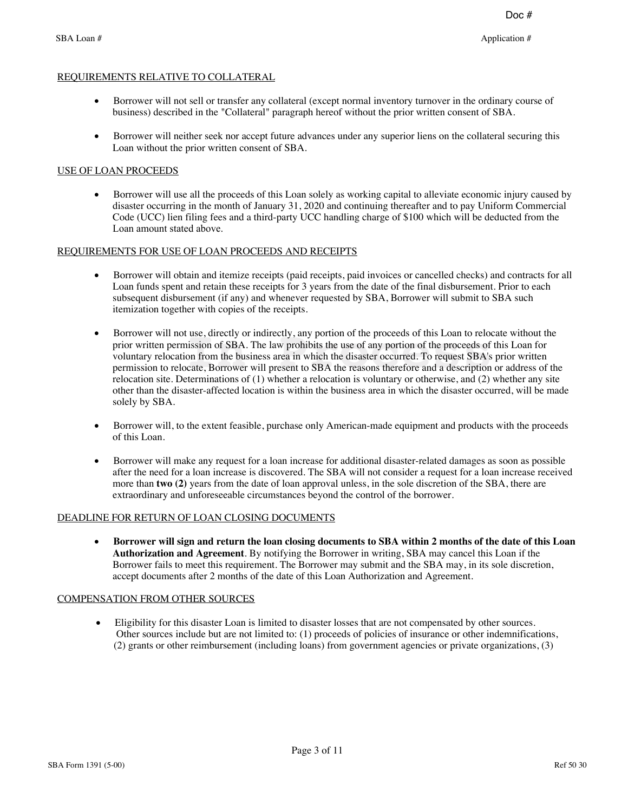#### REQUIREMENTS RELATIVE TO COLLATERAL

- · Borrower will not sell or transfer any collateral (except normal inventory turnover in the ordinary course of business) described in the "Collateral" paragraph hereof without the prior written consent of SBA.
- Borrower will neither seek nor accept future advances under any superior liens on the collateral securing this Loan without the prior written consent of SBA.

#### USE OF LOAN PROCEEDS

· Borrower will use all the proceeds of this Loan solely as working capital to alleviate economic injury caused by disaster occurring in the month of January 31, 2020 and continuing thereafter and to pay Uniform Commercial Code (UCC) lien filing fees and a third-party UCC handling charge of \$100 which will be deducted from the Loan amount stated above.

#### REQUIREMENTS FOR USE OF LOAN PROCEEDS AND RECEIPTS

- · Borrower will obtain and itemize receipts (paid receipts, paid invoices or cancelled checks) and contracts for all Loan funds spent and retain these receipts for 3 years from the date of the final disbursement. Prior to each subsequent disbursement (if any) and whenever requested by SBA, Borrower will submit to SBA such itemization together with copies of the receipts.
- · Borrower will not use, directly or indirectly, any portion of the proceeds of this Loan to relocate without the prior written permission of SBA. The law prohibits the use of any portion of the proceeds of this Loan for voluntary relocation from the business area in which the disaster occurred. To request SBA's prior written permission to relocate, Borrower will present to SBA the reasons therefore and a description or address of the relocation site. Determinations of (1) whether a relocation is voluntary or otherwise, and (2) whether any site other than the disaster-affected location is within the business area in which the disaster occurred, will be made solely by SBA. It use, directly or indirectly, any portion of the proceeds of this Loan to reloom<br>ission of SBA. The law prohibits the use of any portion of the proceeds of<br>on from the business area in which the disaster occurred. To req
- Borrower will, to the extent feasible, purchase only American-made equipment and products with the proceeds of this Loan.
- · Borrower will make any request for a loan increase for additional disaster-related damages as soon as possible after the need for a loan increase is discovered. The SBA will not consider a request for a loan increase received more than **two (2)** years from the date of loan approval unless, in the sole discretion of the SBA, there are extraordinary and unforeseeable circumstances beyond the control of the borrower.

#### DEADLINE FOR RETURN OF LOAN CLOSING DOCUMENTS

· **Borrower will sign and return the loan closing documents to SBA within 2 months of the date of this Loan Authorization and Agreement**. By notifying the Borrower in writing, SBA may cancel this Loan if the Borrower fails to meet this requirement. The Borrower may submit and the SBA may, in its sole discretion, accept documents after 2 months of the date of this Loan Authorization and Agreement.

#### COMPENSATION FROM OTHER SOURCES

· Eligibility for this disaster Loan is limited to disaster losses that are not compensated by other sources. Other sources include but are not limited to: (1) proceeds of policies of insurance or other indemnifications, (2) grants or other reimbursement (including loans) from government agencies or private organizations, (3)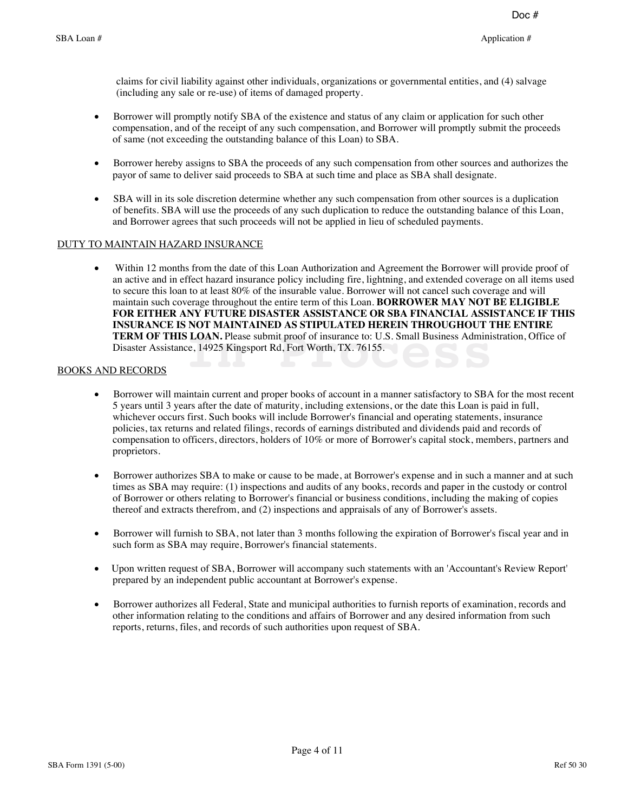claims for civil liability against other individuals, organizations or governmental entities, and (4) salvage (including any sale or re-use) of items of damaged property.

- Borrower will promptly notify SBA of the existence and status of any claim or application for such other compensation, and of the receipt of any such compensation, and Borrower will promptly submit the proceeds of same (not exceeding the outstanding balance of this Loan) to SBA.
- Borrower hereby assigns to SBA the proceeds of any such compensation from other sources and authorizes the payor of same to deliver said proceeds to SBA at such time and place as SBA shall designate.
- SBA will in its sole discretion determine whether any such compensation from other sources is a duplication of benefits. SBA will use the proceeds of any such duplication to reduce the outstanding balance of this Loan, and Borrower agrees that such proceeds will not be applied in lieu of scheduled payments.

#### DUTY TO MAINTAIN HAZARD INSURANCE

· Within 12 months from the date of this Loan Authorization and Agreement the Borrower will provide proof of an active and in effect hazard insurance policy including fire, lightning, and extended coverage on all items used to secure this loan to at least 80% of the insurable value. Borrower will not cancel such coverage and will maintain such coverage throughout the entire term of this Loan. **BORROWER MAY NOT BE ELIGIBLE FOR EITHER ANY FUTURE DISASTER ASSISTANCE OR SBA FINANCIAL ASSISTANCE IF THIS INSURANCE IS NOT MAINTAINED AS STIPULATED HEREIN THROUGHOUT THE ENTIRE TERM OF THIS LOAN.** Please submit proof of insurance to: U.S. Small Business Administration, Office of Disaster Assistance, 14925 Kingsport Rd, Fort Worth, TX. 76155.<br> **DRECORDS** Disaster Assistance, 14925 Kingsport Rd, Fort Worth, TX. 76155.

#### BOOKS AND RECORDS

- · Borrower will maintain current and proper books of account in a manner satisfactory to SBA for the most recent 5 years until 3 years after the date of maturity, including extensions, or the date this Loan is paid in full, whichever occurs first. Such books will include Borrower's financial and operating statements, insurance policies, tax returns and related filings, records of earnings distributed and dividends paid and records of compensation to officers, directors, holders of 10% or more of Borrower's capital stock, members, partners and proprietors.
- · Borrower authorizes SBA to make or cause to be made, at Borrower's expense and in such a manner and at such times as SBA may require: (1) inspections and audits of any books, records and paper in the custody or control of Borrower or others relating to Borrower's financial or business conditions, including the making of copies thereof and extracts therefrom, and (2) inspections and appraisals of any of Borrower's assets.
- · Borrower will furnish to SBA, not later than 3 months following the expiration of Borrower's fiscal year and in such form as SBA may require, Borrower's financial statements.
- · Upon written request of SBA, Borrower will accompany such statements with an 'Accountant's Review Report' prepared by an independent public accountant at Borrower's expense.
- · Borrower authorizes all Federal, State and municipal authorities to furnish reports of examination, records and other information relating to the conditions and affairs of Borrower and any desired information from such reports, returns, files, and records of such authorities upon request of SBA.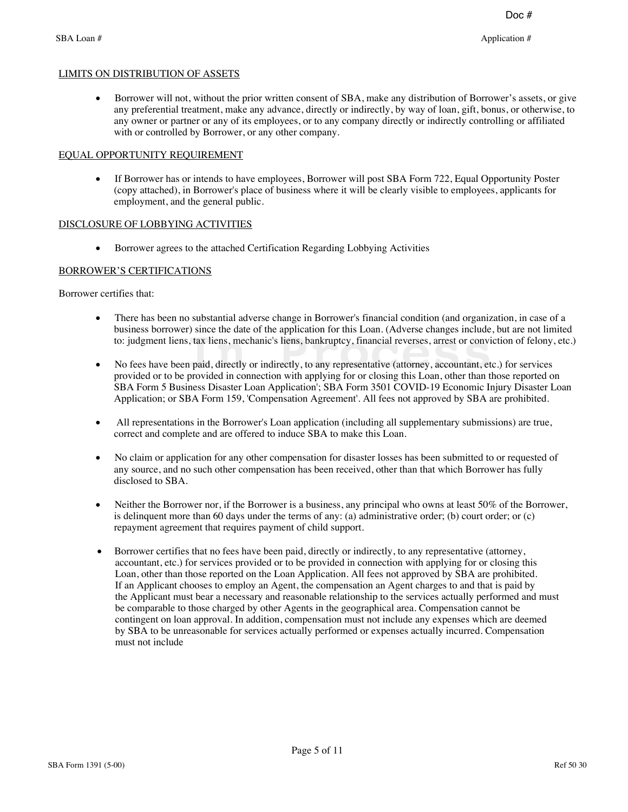#### LIMITS ON DISTRIBUTION OF ASSETS

• Borrower will not, without the prior written consent of SBA, make any distribution of Borrower's assets, or give any preferential treatment, make any advance, directly or indirectly, by way of loan, gift, bonus, or otherwise, to any owner or partner or any of its employees, or to any company directly or indirectly controlling or affiliated with or controlled by Borrower, or any other company.

#### EQUAL OPPORTUNITY REQUIREMENT

· If Borrower has or intends to have employees, Borrower will post SBA Form 722, Equal Opportunity Poster (copy attached), in Borrower's place of business where it will be clearly visible to employees, applicants for employment, and the general public.

#### DISCLOSURE OF LOBBYING ACTIVITIES

· Borrower agrees to the attached Certification Regarding Lobbying Activities

#### BORROWER'S CERTIFICATIONS

Borrower certifies that:

- · There has been no substantial adverse change in Borrower's financial condition (and organization, in case of a business borrower) since the date of the application for this Loan. (Adverse changes include, but are not limited
- to: judgment liens, tax liens, mechanic's liens, bankruptcy, financial reverses, arrest or conviction of felony, etc.)<br>No fees have been paid, directly or indirectly, to any representative (attorney, accountant, etc.) for • No fees have been paid, directly or indirectly, to any representative (attorney, accountant, etc.) for services provided or to be provided in connection with applying for or closing this Loan, other than those reported on SBA Form 5 Business Disaster Loan Application'; SBA Form 3501 COVID-19 Economic Injury Disaster Loan Application; or SBA Form 159, 'Compensation Agreement'. All fees not approved by SBA are prohibited.
- · All representations in the Borrower's Loan application (including all supplementary submissions) are true, correct and complete and are offered to induce SBA to make this Loan.
- · No claim or application for any other compensation for disaster losses has been submitted to or requested of any source, and no such other compensation has been received, other than that which Borrower has fully disclosed to SBA.
- Neither the Borrower nor, if the Borrower is a business, any principal who owns at least 50% of the Borrower, is delinquent more than 60 days under the terms of any: (a) administrative order; (b) court order; or  $(c)$ repayment agreement that requires payment of child support.
- · Borrower certifies that no fees have been paid, directly or indirectly, to any representative (attorney, accountant, etc.) for services provided or to be provided in connection with applying for or closing this Loan, other than those reported on the Loan Application. All fees not approved by SBA are prohibited. If an Applicant chooses to employ an Agent, the compensation an Agent charges to and that is paid by the Applicant must bear a necessary and reasonable relationship to the services actually performed and must be comparable to those charged by other Agents in the geographical area. Compensation cannot be contingent on loan approval. In addition, compensation must not include any expenses which are deemed by SBA to be unreasonable for services actually performed or expenses actually incurred. Compensation must not include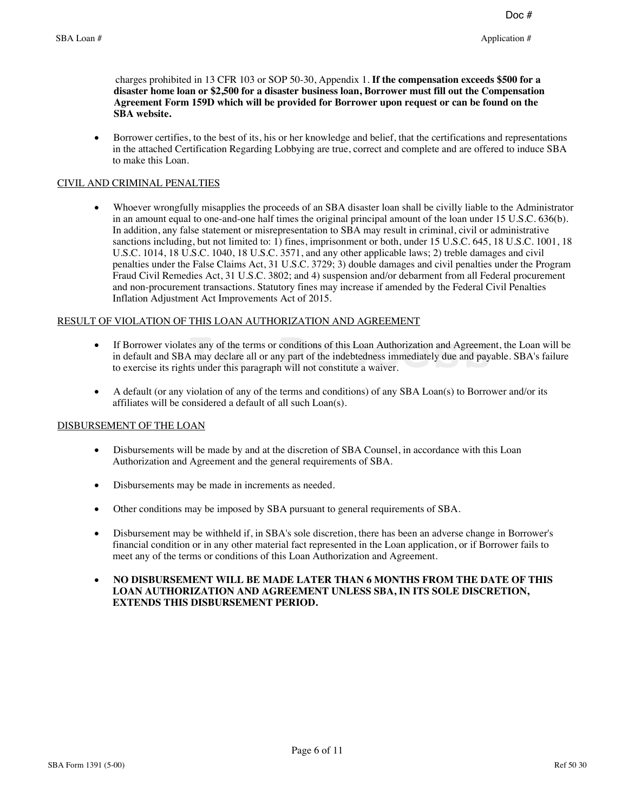charges prohibited in 13 CFR 103 or SOP 50-30, Appendix 1. **If the compensation exceeds \$500 for a disaster home loan or \$2,500 for a disaster business loan, Borrower must fill out the Compensation Agreement Form 159D which will be provided for Borrower upon request or can be found on the SBA website.**

· Borrower certifies, to the best of its, his or her knowledge and belief, that the certifications and representations in the attached Certification Regarding Lobbying are true, correct and complete and are offered to induce SBA to make this Loan.

#### CIVIL AND CRIMINAL PENALTIES

· Whoever wrongfully misapplies the proceeds of an SBA disaster loan shall be civilly liable to the Administrator in an amount equal to one-and-one half times the original principal amount of the loan under 15 U.S.C. 636(b). In addition, any false statement or misrepresentation to SBA may result in criminal, civil or administrative sanctions including, but not limited to: 1) fines, imprisonment or both, under 15 U.S.C. 645, 18 U.S.C. 1001, 18 U.S.C. 1014, 18 U.S.C. 1040, 18 U.S.C. 3571, and any other applicable laws; 2) treble damages and civil penalties under the False Claims Act, 31 U.S.C. 3729; 3) double damages and civil penalties under the Program Fraud Civil Remedies Act, 31 U.S.C. 3802; and 4) suspension and/or debarment from all Federal procurement and non-procurement transactions. Statutory fines may increase if amended by the Federal Civil Penalties Inflation Adjustment Act Improvements Act of 2015.

#### RESULT OF VIOLATION OF THIS LOAN AUTHORIZATION AND AGREEMENT

- · If Borrower violates any of the terms or conditions of this Loan Authorization and Agreement, the Loan will be in default and SBA may declare all or any part of the indebtedness immediately due and payable. SBA's failure to exercise its rights under this paragraph will not constitute a waiver. tes any of the terms or conditions of this Loan Authorization and Agreement A may declare all or any part of the indebtedness immediately due and payants under this paragraph will not constitute a waiver.
- A default (or any violation of any of the terms and conditions) of any SBA Loan(s) to Borrower and/or its affiliates will be considered a default of all such Loan(s).

#### DISBURSEMENT OF THE LOAN

- Disbursements will be made by and at the discretion of SBA Counsel, in accordance with this Loan Authorization and Agreement and the general requirements of SBA.
- · Disbursements may be made in increments as needed.
- Other conditions may be imposed by SBA pursuant to general requirements of SBA.
- · Disbursement may be withheld if, in SBA's sole discretion, there has been an adverse change in Borrower's financial condition or in any other material fact represented in the Loan application, or if Borrower fails to meet any of the terms or conditions of this Loan Authorization and Agreement.
- · **NO DISBURSEMENT WILL BE MADE LATER THAN 6 MONTHS FROM THE DATE OF THIS LOAN AUTHORIZATION AND AGREEMENT UNLESS SBA, IN ITS SOLE DISCRETION, EXTENDS THIS DISBURSEMENT PERIOD.**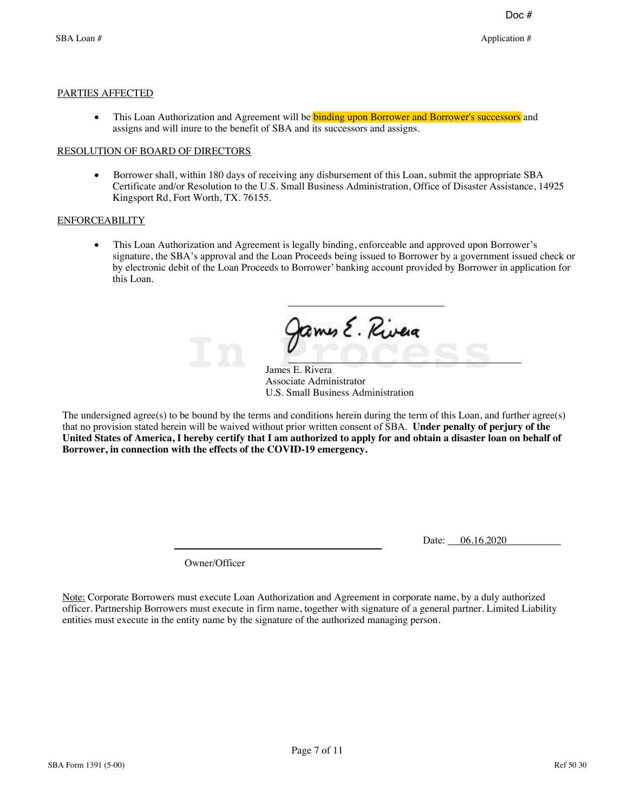#### PARTIES AFFECTED

• This Loan Authorization and Agreement will be **binding upon Borrower and Borrower's successors** and assigns and will inure to the benefit of SBA and its successors and assigns.

#### RESOLUTION OF BOARD OF DIRECTORS

· Borrower shall, within 180 days of receiving any disbursement of this Loan, submit the appropriate SBA Certificate and/or Resolution to the U.S. Small Business Administration, Office of Disaster Assistance, 14925 Kingsport Rd, Fort Worth, TX. 76155.

#### ENFORCEABILITY

• This Loan Authorization and Agreement is legally binding, enforceable and approved upon Borrower's signature, the SBA's approval and the Loan Proceeds being issued to Borrower by a government issued check or by electronic debit of the Loan Proceeds to Borrower' banking account provided by Borrower in application for this Loan.

**In Process**

James E. Rivera Associate Administrator U.S. Small Business Administration

The undersigned agree(s) to be bound by the terms and conditions herein during the term of this Loan, and further agree(s) that no provision stated herein will be waived without prior written consent of SBA. Under penalty of perjury of the **United States of America, I hereby certify that I am authorized to apply for and obtain a disaster loan on behalf of Borrower, in connection with the effects of the COVID-19 emergency.**

Date: 06.16.2020

Owner/Officer

Note: Corporate Borrowers must execute Loan Authorization and Agreement in corporate name, by a duly authorized officer. Partnership Borrowers must execute in firm name, together with signature of a general partner. Limited Liability entities must execute in the entity name by the signature of the authorized managing person.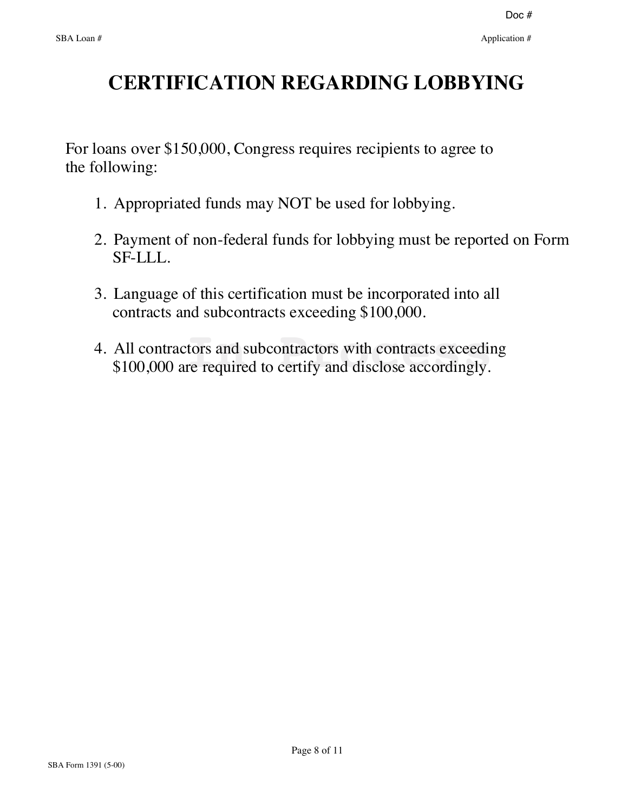# **CERTIFICATION REGARDING LOBBYING**

 For loans over \$150,000, Congress requires recipients to agree to the following:

- 1. Appropriated funds may NOT be used for lobbying.
- 2. Payment of non-federal funds for lobbying must be reported on Form SF-LLL.
- 3. Language of this certification must be incorporated into all contracts and subcontracts exceeding \$100,000.
- 4. All contractors and subcontractors with contracts exceeding All contractors and subcontractors with contracts exceedin<br>\$100,000 are required to certify and disclose accordingly.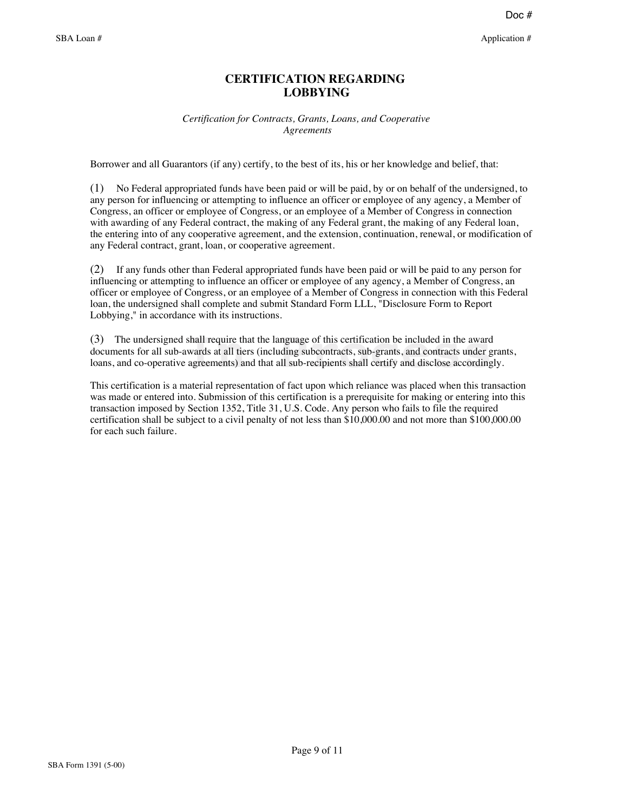### **CERTIFICATION REGARDING LOBBYING**

#### *Certification for Contracts, Grants, Loans, and Cooperative Agreements*

Borrower and all Guarantors (if any) certify, to the best of its, his or her knowledge and belief, that:

(1) No Federal appropriated funds have been paid or will be paid, by or on behalf of the undersigned, to any person for influencing or attempting to influence an officer or employee of any agency, a Member of Congress, an officer or employee of Congress, or an employee of a Member of Congress in connection with awarding of any Federal contract, the making of any Federal grant, the making of any Federal loan, the entering into of any cooperative agreement, and the extension, continuation, renewal, or modification of any Federal contract, grant, loan, or cooperative agreement.

(2) If any funds other than Federal appropriated funds have been paid or will be paid to any person for influencing or attempting to influence an officer or employee of any agency, a Member of Congress, an officer or employee of Congress, or an employee of a Member of Congress in connection with this Federal loan, the undersigned shall complete and submit Standard Form LLL, "Disclosure Form to Report Lobbying," in accordance with its instructions.

(3) The undersigned shall require that the language of this certification be included in the award documents for all sub-awards at all tiers (including subcontracts, sub-grants, and contracts under g loans, and co-operativ documents for all sub-awards at all tiers (including subcontracts, sub-grants, and contracts under grants, loans, and co-operative agreements) and that all sub-recipients shall certify and disclose accordingly.

This certification is a material representation of fact upon which reliance was placed when this transaction was made or entered into. Submission of this certification is a prerequisite for making or entering into this transaction imposed by Section 1352, Title 31, U.S. Code. Any person who fails to file the required certification shall be subject to a civil penalty of not less than \$10,000.00 and not more than \$100,000.00 for each such failure.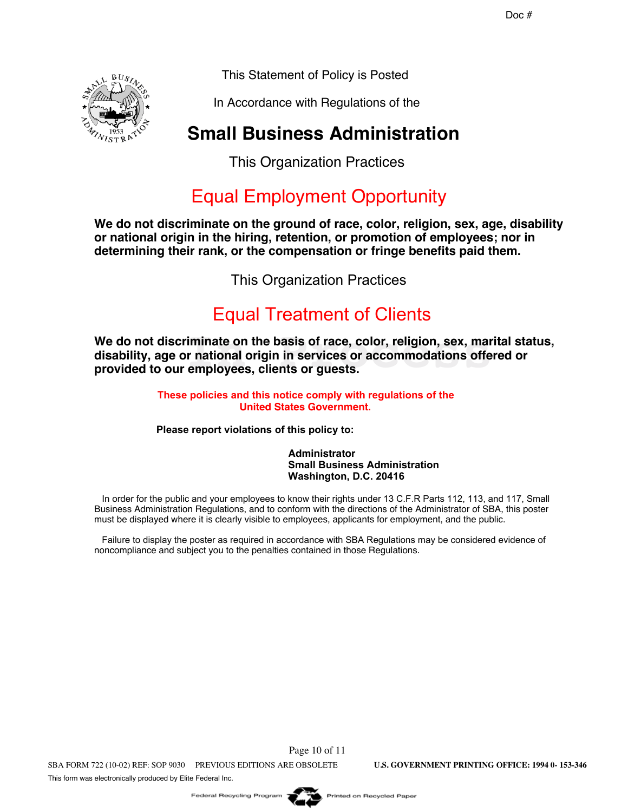This Statement of Policy is Posted

In Accordance with Regulations of the

# **Small Business Administration**

This Organization Practices

# Equal Employment Opportunity

**We do not discriminate on the ground of race, color, religion, sex, age, disability or national origin in the hiring, retention, or promotion of employees; nor in determining their rank, or the compensation or fringe benefits paid them.**

This Organization Practices

# **Equal Treatment of Clients**

We do not discriminate on the basis of race, color, religion, sex, marital status,<br>disability, age or national origin in services or accommodations offered or<br>provided to our employees, clients or guests. **disability, age or national origin in services or accommodations offered or provided to our employees, clients or guests.**

> These policies and this notice comply with regulations of the **United States Government.**

**Please report violations of this policy to:** 

**Administrator Small Business Administration** Washington, D.C. 20416

In order for the public and your employees to know their rights under 13 C.F.R Parts 112, 113, and 117, Small Business Administration Regulations, and to conform with the directions of the Administrator of SBA, this poster must be displayed where it is clearly visible to employees, applicants for employment, and the public.

Failure to display the poster as required in accordance with SBA Regulations may be considered evidence of noncompliance and subject you to the penalties contained in those Regulations.

Page 10 of 11 SBA FORM 722 (10-02) REF: SOP 9030 PREVIOUS EDITIONS ARE OBSOLETE **U.S. GOVERNMENT PRINTING OFFICE: 1994 0- 153-346** This form was electronically produced by Elite Federal Inc.